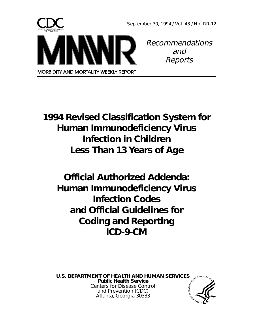

Recommendations and Reports

**1994 Revised Classification System for Human Immunodeficiency Virus Infection in Children Less Than 13 Years of Age**

**Official Authorized Addenda: Human Immunodeficiency Virus Infection Codes and Official Guidelines for Coding and Reporting ICD-9-CM**

U.S. DEPARTMENT OF HEALTH AND HUMAN SERVICES **SUPPARTMENT**<br>Public Health Service<br>Centers for Discoss of C **Public Health Service** Centers for Disease Control and Prevention (CDC) Atlanta, Georgia 30333

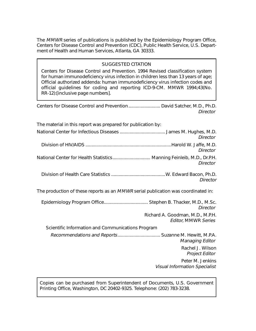The MMWR series of publications is published by the Epidemiology Program Office, Centers for Disease Control and Prevention (CDC), Public Health Service, U.S. Department of Health and Human Services, Atlanta, GA 30333.

### SUGGESTED CITATION

Centers for Disease Control and Prevention. 1994 Revised classification system for human immunodeficiency virus infection in children less than 13 years of age; Official authorized addenda: human immunodeficiency virus infection codes and official guidelines for coding and reporting ICD-9-CM. MMWR 1994;43(No. RR-12):[inclusive page numbers].

| Centers for Disease Control and Prevention David Satcher, M.D., Ph.D. |  |          |
|-----------------------------------------------------------------------|--|----------|
|                                                                       |  | Director |

| The material in this report was prepared for publication by:                             |
|------------------------------------------------------------------------------------------|
| <b>Director</b>                                                                          |
| <b>Director</b>                                                                          |
| National Center for Health Statistics Manning Feinleib, M.D., Dr.P.H.<br><b>Director</b> |
| <b>Director</b>                                                                          |
| The production of these reports as an MMWR serial publication was coordinated in:        |
| <b>Director</b>                                                                          |
| Richard A. Goodman, M.D., M.P.H.<br><b>Editor, MMWR Series</b>                           |
| Scientific Information and Communications Program                                        |
| Managing Editor                                                                          |
| Rachel J. Wilson<br><b>Project Editor</b>                                                |
| Peter M. Jenkins<br><b>Visual Information Specialist</b>                                 |

Copies can be purchased from Superintendent of Documents, U.S. Government Printing Office, Washington, DC 20402-9325. Telephone: (202) 783-3238.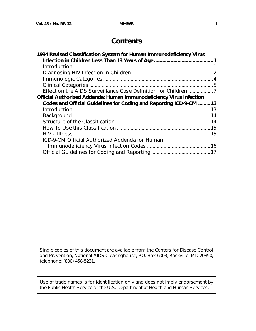# **Contents**

| 1994 Revised Classification System for Human Immunodeficiency Virus |  |
|---------------------------------------------------------------------|--|
|                                                                     |  |
|                                                                     |  |
|                                                                     |  |
|                                                                     |  |
|                                                                     |  |
| Effect on the AIDS Surveillance Case Definition for Children 7      |  |
| Official Authorized Addenda: Human Immunodeficiency Virus Infection |  |
| Codes and Official Guidelines for Coding and Reporting ICD-9-CM 13  |  |
|                                                                     |  |
|                                                                     |  |
|                                                                     |  |
|                                                                     |  |
|                                                                     |  |
| ICD-9-CM Official Authorized Addenda for Human                      |  |
|                                                                     |  |
|                                                                     |  |

Single copies of this document are available from the Centers for Disease Control and Prevention, National AIDS Clearinghouse, P.O. Box 6003, Rockville, MD 20850; telephone: (800) 458-5231.

Use of trade names is for identification only and does not imply endorsement by the Public Health Service or the U.S. Department of Health and Human Services.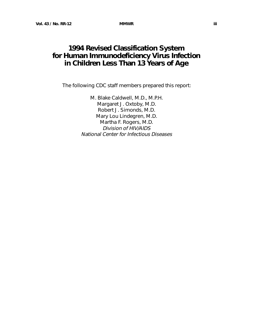# **1994 Revised Classification System for Human Immunodeficiency Virus Infection in Children Less Than 13 Years of Age**

The following CDC staff members prepared this report:

M. Blake Caldwell, M.D., M.P.H. Margaret J. Oxtoby, M.D. Robert J. Simonds, M.D. Mary Lou Lindegren, M.D. Martha F. Rogers, M.D. Division of HIV/AIDS National Center for Infectious Diseases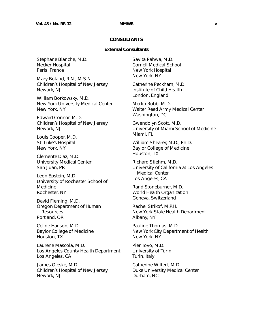### **CONSULTANTS**

#### **External Consultants**

Stephane Blanche, M.D. Necker Hospital Paris, France

Mary Boland, R.N., M.S.N. Children's Hospital of New Jersey Newark, NJ

William Borkowsky, M.D. New York University Medical Center New York, NY

Edward Connor, M.D. Children's Hospital of New Jersey Newark, NJ

Louis Cooper, M.D. St. Luke's Hospital New York, NY

Clemente Diaz, M.D. University Medical Center San Juan, PR

Leon Epstein, M.D. University of Rochester School of Medicine Rochester, NY

David Fleming, M.D. Oregon Department of Human Resources Portland, OR

Celine Hanson, M.D. Baylor College of Medicine Houston, TX

Laurene Mascola, M.D. Los Angeles County Health Department Los Angeles, CA

James Oleske, M.D. Children's Hospital of New Jersey Newark, NJ

Savita Pahwa, M.D. Cornell Medical School New York Hospital New York, NY

Catherine Peckham, M.D. Institute of Child Health London, England

Merlin Robb, M.D. Walter Reed Army Medical Center Washington, DC

Gwendolyn Scott, M.D. University of Miami School of Medicine Miami, FL

William Shearer, M.D., Ph.D. Baylor College of Medicine Houston, TX

Richard Stiehm, M.D. University of California at Los Angeles Medical Center Los Angeles, CA

Rand Stoneburner, M.D. World Health Organization Geneva, Switzerland

Rachel Strikof, M.P.H. New York State Health Department Albany, NY

Pauline Thomas, M.D. New York City Department of Health New York, NY

Pier Tovo, M.D. University of Turin Turin, Italy

Catherine Wilfert, M.D. Duke University Medical Center Durham, NC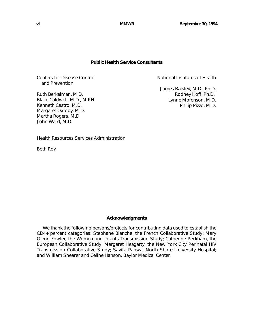### **Public Health Service Consultants**

Centers for Disease Control and Prevention

Ruth Berkelman, M.D. Blake Caldwell, M.D., M.P.H. Kenneth Castro, M.D. Margaret Oxtoby, M.D. Martha Rogers, M.D. John Ward, M.D.

National Institutes of Health

James Balsley, M.D., Ph.D. Rodney Hoff, Ph.D. Lynne Mofenson, M.D. Philip Pizzo, M.D.

Health Resources Services Administration

Beth Roy

### **Acknowledgments**

We thank the following persons/projects for contributing data used to establish the CD4+ percent categories: Stephane Blanche, the French Collaborative Study; Mary Glenn Fowler, the Women and Infants Transmission Study; Catherine Peckham, the European Collaborative Study; Margaret Heagarty, the New York City Perinatal HIV Transmission Collaborative Study; Savita Pahwa, North Shore University Hospital; and William Shearer and Celine Hanson, Baylor Medical Center.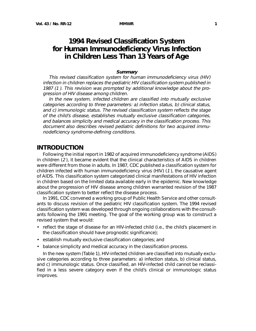# <span id="page-8-0"></span>**1994 Revised Classification System for Human Immunodeficiency Virus Infection in Children Less Than 13 Years of Age**

#### **Summary**

This revised classification system for human immunodeficiency virus (HIV) infection in children replaces the pediatric HIV classification system published in 1987 (1 ). This revision was prompted by additional knowledge about the progression of HIV disease among children.

In the new system, infected children are classified into mutually exclusive categories according to three parameters: a) infection status, b) clinical status, and c) immunologic status. The revised classification system reflects the stage of the child's disease, establishes mutually exclusive classification categories, and balances simplicity and medical accuracy in the classification process. This document also describes revised pediatric definitions for two acquired immunodeficiency syndrome-defining conditions.

## **INTRODUCTION**

Following the initial report in 1982 of acquired immunodeficiency syndrome (AIDS) in children (2 ), it became evident that the clinical characteristics of AIDS in children were different from those in adults. In 1987, CDC published a classification system for children infected with human immunodeficiency virus (HIV) (1 ), the causative agent of AIDS. This classification system categorized clinical manifestations of HIV infection in children based on the limited data available early in the epidemic. New knowledge about the progression of HIV disease among children warranted revision of the 1987 classification system to better reflect the disease process.

In 1991, CDC convened a working group of Public Health Service and other consultants to discuss revision of the pediatric HIV classification system. The 1994 revised classification system was developed through ongoing collaborations with the consultants following the 1991 meeting. The goal of the working group was to construct a revised system that would:

- reflect the stage of disease for an HIV-infected child (i.e., the child's placement in the classification should have prognostic significance);
- establish mutually exclusive classification categories; and
- balance simplicity and medical accuracy in the classification process.

In the new system (Table 1), HIV-infected children are classified into mutually exclusive categories according to three parameters: a) infection status, b) clinical status, and c) immunologic status. Once classified, an HIV-infected child cannot be reclassified in a less severe category even if the child's clinical or immunologic status improves.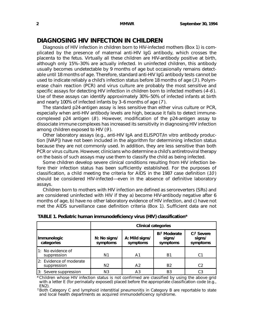# <span id="page-9-0"></span>**DIAGNOSING HIV INFECTION IN CHILDREN**

Diagnosis of HIV infection in children born to HIV-infected mothers (Box 1) is complicated by the presence of maternal anti-HIV IgG antibody, which crosses the placenta to the fetus. Virtually all these children are HIV-antibody positive at birth, although only 15%–30% are actually infected. In uninfected children, this antibody usually becomes undetectable by 9 months of age but occasionally remains detectable until 18 months of age. Therefore, standard anti-HIV IgG antibody tests cannot be used to indicate reliably a child's infection status before 18 months of age (3 ). Polymerase chain reaction (PCR) and virus culture are probably the most sensitive and specific assays for detecting HIV infection in children born to infected mothers (4–6 ). Use of these assays can identify approximately 30%–50% of infected infants at birth and nearly 100% of infected infants by 3–6 months of age (7 ).

The standard p24-antigen assay is less sensitive than either virus culture or PCR, especially when anti-HIV antibody levels are high, because it fails to detect immunecomplexed p24 antigen  $(8)$ . However, modification of the p24-antigen assay to dissociate immune complexes has increased its sensitivity in diagnosing HIV infection among children exposed to HIV (9 ).

Other laboratory assays (e.g., anti-HIV IgA and ELISPOT/in vitro antibody production [IVAP]) have not been included in the algorithm for determining infection status because they are not commonly used. In addition, they are less sensitive than both PCR or virus culture. However, clinicians who determine a child's antiretroviral therapy on the basis of such assays may use them to classify the child as being infected.

Some children develop severe clinical conditions resulting from HIV infection before their infection status has been sufficiently established. For the purposes of classification, a child meeting the criteria for AIDS in the 1987 case definition (10 ) should be considered HIV-infected—even in the absence of definitive laboratory assays.

Children born to mothers with HIV infection are defined as seroreverters (SRs) and are considered uninfected with HIV if they a) become HIV-antibody negative after 6 months of age, b) have no other laboratory evidence of HIV infection, and c) have not met the AIDS surveillance case definition criteria (Box 1). Sufficient data are not

|                                        | <b>Clinical categories</b> |                                                                              |                |                                   |  |
|----------------------------------------|----------------------------|------------------------------------------------------------------------------|----------------|-----------------------------------|--|
| Immunologic<br>categories              | N: No signs/<br>symptoms   | B: <sup>†</sup> Moderate<br>A: Mild signs/<br>signs/<br>symptoms<br>symptoms |                | $C†$ Severe<br>signs/<br>symptoms |  |
| 1: No evidence of<br>suppression       | N1                         | Α1                                                                           | B1             | C <sub>1</sub>                    |  |
| 2: Evidence of moderate<br>suppression | N <sub>2</sub>             | A2                                                                           | B <sub>2</sub> | C <sub>2</sub>                    |  |
| 3: Severe suppression                  | N <sub>3</sub>             | A3                                                                           | B3             | C <sub>3</sub>                    |  |

**TABLE 1. Pediatric human immunodeficiency virus (HIV) classification\***

\*Children whose HIV infection status is not confirmed are classified by using the above grid with a letter E (for perinatally exposed) placed before the appropriate classification code (e.g., EN2).

†Both Category C and lymphoid interstitial pneumonitis in Category B are reportable to state and local health departments as acquired immunodeficiency syndrome.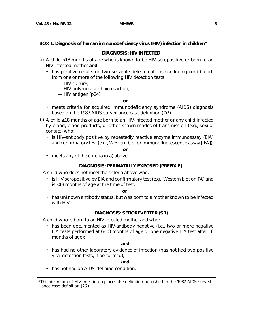**BOX 1. Diagnosis of human immunodeficiency virus (HIV) infection in children\***

### **DIAGNOSIS: HIV INFECTED**

- a) A child <18 months of age who is known to be HIV seropositive or born to an HIV-infected mother **and:**
	- has positive results on two separate determinations (excluding cord blood) from one or more of the following HIV detection tests:
		- HIV culture,
		- HIV polymerase chain reaction,
		- HIV antigen (p24),

### **or**

- meets criteria for acquired immunodeficiency syndrome (AIDS) diagnosis based on the 1987 AIDS surveillance case definition (10 ).
- b) A child ≥18 months of age born to an HIV-infected mother or any child infected by blood, blood products, or other known modes of transmission (e.g., sexual contact) who:
	- is HIV-antibody positive by repeatedly reactive enzyme immunoassay (EIA) and confirmatory test (e.g., Western blot or immunofluorescence assay [IFA]);

**or**

• meets any of the criteria in a) above.

### **DIAGNOSIS: PERINATALLY EXPOSED (PREFIX E)**

A child who does not meet the criteria above who:

• is HIV seropositive by EIA and confirmatory test (e.g., Western blot or IFA) and is <18 months of age at the time of test;

### **or**

• has unknown antibody status, but was born to a mother known to be infected with HIV.

### **DIAGNOSIS: SEROREVERTER (SR)**

A child who is born to an HIV-infected mother and who:

• has been documented as HIV-antibody negative (i.e., two or more negative EIA tests performed at 6–18 months of age or one negative EIA test after 18 months of age);

### **and**

• has had no other laboratory evidence of infection (has not had two positive viral detection tests, if performed);

### **and**

• has not had an AIDS-defining condition.

<sup>\*</sup>This definition of HIV infection replaces the definition published in the 1987 AIDS surveillance case definition (10).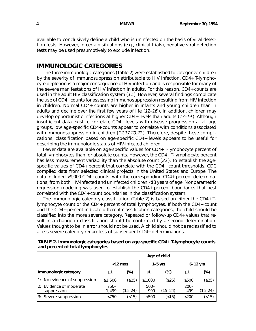<span id="page-11-0"></span>available to conclusively define a child who is uninfected on the basis of viral detection tests. However, in certain situations (e.g., clinical trials), negative viral detection tests may be used presumptively to exclude infection.

# **IMMUNOLOGIC CATEGORIES**

The three immunologic categories (Table 2) were established to categorize children by the severity of immunosuppression attributable to HIV infection. CD4+ T-lymphocyte depletion is a major consequence of HIV infection and is responsible for many of the severe manifestations of HIV infection in adults. For this reason, CD4+ counts are used in the adult HIV classification system (11 ). However, several findings complicate the use of CD4+ counts for assessing immunosuppression resulting from HIV infection in children. Normal CD4+ counts are higher in infants and young children than in adults and decline over the first few years of life (12–16 ). In addition, children may develop opportunistic infections at higher CD4+ levels than adults (17–19 ). Although insufficient data exist to correlate CD4+ levels with disease progression at all age groups, low age-specific CD4+ counts appear to correlate with conditions associated with immunosuppression in children (12,17,20,21). Therefore, despite these complications, classification based on age-specific CD4+ levels appears to be useful for describing the immunologic status of HIV-infected children.

Fewer data are available on age-specific values for CD4+ T-lymphocyte percent of total lymphocytes than for absolute counts. However, the CD4+ T-lymphocyte percent has less measurement variability than the absolute count (22 ). To establish the agespecific values of CD4+ percent that correlate with the CD4+ count thresholds, CDC compiled data from selected clinical projects in the United States and Europe. The data included >9,000 CD4+ counts, with the corresponding CD4+ percent determinations, from both HIV-infected and uninfected children <13 years of age. Nonparametric regression modeling was used to establish the CD4+ percent boundaries that best correlated with the CD4+ count boundaries in the classification system.

The immunologic category classification (Table 2) is based on either the CD4+ Tlymphocyte count or the CD4+ percent of total lymphocytes. If both the CD4+ count and the CD4+ percent indicate different classification categories, the child should be classified into the more severe category. Repeated or follow-up CD4+ values that result in a change in classification should be confirmed by a second determination. Values thought to be in error should not be used. A child should not be reclassified to a less severe category regardless of subsequent CD4+ determinations.

|                                           | Age of child     |             |                |             |                |             |
|-------------------------------------------|------------------|-------------|----------------|-------------|----------------|-------------|
|                                           | $<$ 12 mos       |             | $1-5$ yrs      |             | $6-12$ yrs     |             |
| Immunologic category                      | μL               | $(\%)$      | μL             | $(\%)$      | μL             | $(\%)$      |
| 1: No evidence of suppression             | ≥1,500           | (≥25)       | ≥1,000         | (≥25)       | $\geq 500$     | (≥25)       |
| 2:<br>Evidence of moderate<br>suppression | $750 -$<br>1.499 | $(15 - 24)$ | $500 -$<br>999 | $(15 - 24)$ | $200 -$<br>499 | $(15 - 24)$ |
| 13:<br>Severe suppression                 | < 750            | $($ < 15)   | < 500          | $($ < 15)   | < 200          | $($ < 15)   |

**TABLE 2. Immunologic categories based on age-specific CD4+ T-lymphocyte counts and percent of total lymphocytes**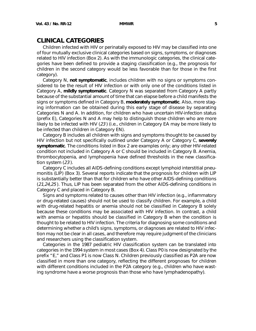<span id="page-12-0"></span>

# **CLINICAL CATEGORIES**

Children infected with HIV or perinatally exposed to HIV may be classified into one of four mutually exclusive clinical categories based on signs, symptoms, or diagnoses related to HIV infection (Box 2). As with the immunologic categories, the clinical categories have been defined to provide a staging classification (e.g., the prognosis for children in the second category would be less favorable than for those in the first category).

Category N, **not symptomatic**, includes children with no signs or symptoms considered to be the result of HIV infection or with only one of the conditions listed in Category A, **mildly symptomatic**. Category N was separated from Category A partly because of the substantial amount of time that can elapse before a child manifests the signs or symptoms defined in Category B, **moderately symptomatic**. Also, more staging information can be obtained during this early stage of disease by separating Categories N and A. In addition, for children who have uncertain HIV-infection status (prefix E), Categories N and A may help to distinguish those children who are more likely to be infected with HIV (23 ) (i.e., children in Category EA may be more likely to be infected than children in Category EN).

Category B includes all children with signs and symptoms thought to be caused by HIV infection but not specifically outlined under Category A or Category C, **severely symptomatic**. The conditions listed in Box 2 are examples only; any other HIV-related condition not included in Category A or C should be included in Category B. Anemia, thrombocytopenia, and lymphopenia have defined thresholds in the new classification system (23 ).

Category C includes all AIDS-defining conditions except lymphoid interstitial pneumonitis (LIP) (Box 3). Several reports indicate that the prognosis for children with LIP is substantially better than that for children who have other AIDS-defining conditions (21,24,25 ). Thus, LIP has been separated from the other AIDS-defining conditions in Category C and placed in Category B.

Signs and symptoms related to causes other than HIV infection (e.g., inflammatory or drug-related causes) should not be used to classify children. For example, a child with drug-related hepatitis or anemia should not be classified in Category B solely because these conditions may be associated with HIV infection. In contrast, a child with anemia or hepatitis should be classified in Category B when the condition is thought to be related to HIV infection. The criteria for diagnosing some conditions and determining whether a child's signs, symptoms, or diagnoses are related to HIV infection may not be clear in all cases, and therefore may require judgment of the clinicians and researchers using the classification system.

Categories in the 1987 pediatric HIV classification system can be translated into categories in the 1994 system in most cases (Box 4). Class P0 is now designated by the prefix "E," and Class P1 is now Class N. Children previously classified as P2A are now classified in more than one category, reflecting the different prognoses for children with different conditions included in the P2A category (e.g., children who have wasting syndrome have a worse prognosis than those who have lymphadenopathy).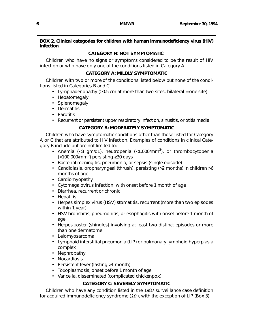**BOX 2. Clinical categories for children with human immunodeficiency virus (HIV) infection**

### **CATEGORY N: NOT SYMPTOMATIC**

Children who have no signs or symptoms considered to be the result of HIV infection or who have only one of the conditions listed in Category A.

### **CATEGORY A: MILDLY SYMPTOMATIC**

Children with two or more of the conditions listed below but none of the conditions listed in Categories B and C.

- Lymphadenopathy ( $\geq 0.5$  cm at more than two sites; bilateral = one site)
- Hepatomegaly
- Splenomegaly
- Dermatitis
- Parotitis
- Recurrent or persistent upper respiratory infection, sinusitis, or otitis media

### **CATEGORY B: MODERATELY SYMPTOMATIC**

Children who have symptomatic conditions other than those listed for Category A or C that are attributed to HIV infection. Examples of conditions in clinical Category B include but are not limited to:

- Anemia (<8 gm/dL), neutropenia (<1,000/mm<sup>3</sup>), or thrombocytopenia  $\left($ <100,000/mm<sup>3</sup> $\right)$  persisting ≥30 days
- Bacterial meningitis, pneumonia, or sepsis (single episode)
- Candidiasis, oropharyngeal (thrush), persisting (>2 months) in children >6 months of age
- Cardiomyopathy
- Cytomegalovirus infection, with onset before 1 month of age
- Diarrhea, recurrent or chronic
- Hepatitis
- Herpes simplex virus (HSV) stomatitis, recurrent (more than two episodes within 1 year)
- HSV bronchitis, pneumonitis, or esophagitis with onset before 1 month of age
- Herpes zoster (shingles) involving at least two distinct episodes or more than one dermatome
- Leiomyosarcoma
- Lymphoid interstitial pneumonia (LIP) or pulmonary lymphoid hyperplasia complex
- Nephropathy
- Nocardiosis
- Persistent fever (lasting >1 month)
- Toxoplasmosis, onset before 1 month of age
- Varicella, disseminated (complicated chickenpox)

### **CATEGORY C: SEVERELY SYMPTOMATIC**

Children who have any condition listed in the 1987 surveillance case definition for acquired immunodeficiency syndrome (10 ), with the exception of LIP (Box 3).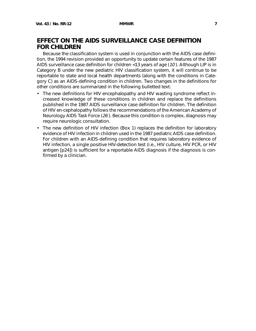# <span id="page-14-0"></span>**EFFECT ON THE AIDS SURVEILLANCE CASE DEFINITION FOR CHILDREN**

Because the classification system is used in conjunction with the AIDS case definition, the 1994 revision provided an opportunity to update certain features of the 1987 AIDS surveillance case definition for children <13 years of age (10 ). Although LIP is in Category B under the new pediatric HIV classification system, it will continue to be reportable to state and local health departments (along with the conditions in Category C) as an AIDS-defining condition in children. Two changes in the definitions for other conditions are summarized in the following bulletted text:

- The new definitions for HIV encephalopathy and HIV wasting syndrome reflect increased knowledge of these conditions in children and replace the definitions published in the 1987 AIDS surveillance case definition for children. The definition of HIV en-cephalopathy follows the recommendations of the American Academy of Neurology AIDS Task Force (26 ). Because this condition is complex, diagnosis may require neurologic consultation.
- The new definition of HIV infection (Box 1) replaces the definition for laboratory evidence of HIV infection in children used in the 1987 pediatric AIDS case definition. For children with an AIDS-defining condition that requires laboratory evidence of HIV infection, a single positive HIV-detection test (i.e., HIV culture, HIV PCR, or HIV antigen [p24]) is sufficient for a reportable AIDS diagnosis if the diagnosis is confirmed by a clinician.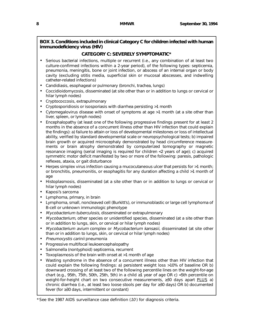**BOX 3. Conditions included in clinical Category C for children infected with human immunodeficiency virus (HIV)**

### **CATEGORY C: SEVERELY SYMPTOMATIC\***

- Serious bacterial infections, multiple or recurrent (i.e., any combination of at least two culture-confirmed infections within a 2-year period), of the following types: septicemia, pneumonia, meningitis, bone or joint infection, or abscess of an internal organ or body cavity (excluding otitis media, superficial skin or mucosal abscesses, and indwelling catheter-related infections)
- Candidiasis, esophageal or pulmonary (bronchi, trachea, lungs)
- Coccidioidomycosis, disseminated (at site other than or in addition to lungs or cervical or hilar lymph nodes)
- Cryptococcosis, extrapulmonary
- Cryptosporidiosis or isosporiasis with diarrhea persisting >1 month
- Cytomegalovirus disease with onset of symptoms at age >1 month (at a site other than liver, spleen, or lymph nodes)
- Encephalopathy (at least one of the following progressive findings present for at least 2 months in the absence of a concurrent illness other than HIV infection that could explain the findings): a) failure to attain or loss of developmental milestones or loss of intellectual ability, verified by standard developmental scale or neuropsychological tests; b) impaired brain growth or acquired microcephaly demonstrated by head circumference measurements or brain atrophy demonstrated by computerized tomography or magnetic resonance imaging (serial imaging is required for children <2 years of age); c) acquired symmetric motor deficit manifested by two or more of the following: paresis, pathologic reflexes, ataxia, or gait disturbance
- Herpes simplex virus infection causing a mucocutaneous ulcer that persists for >1 month; or bronchitis, pneumonitis, or esophagitis for any duration affecting a child >1 month of age
- Histoplasmosis, disseminated (at a site other than or in addition to lungs or cervical or hilar lymph nodes)
- Kaposi's sarcoma
- Lymphoma, primary, in brain
- Lymphoma, small, noncleaved cell (Burkitt's), or immunoblastic or large cell lymphoma of B-cell or unknown immunologic phenotype
- Mycobacterium tuberculosis, disseminated or extrapulmonary
- Mycobacterium, other species or unidentified species, disseminated (at a site other than or in addition to lungs, skin, or cervical or hilar lymph nodes)
- Mycobacterium avium complex or Mycobacterium kansasii, disseminated (at site other than or in addition to lungs, skin, or cervical or hilar lymph nodes)
- Pneumocystis carinii pneumonia
- Progressive multifocal leukoencephalopathy
- Salmonella (nontyphoid) septicemia, recurrent
- Toxoplasmosis of the brain with onset at >1 month of age
- Wasting syndrome in the absence of a concurrent illness other than HIV infection that could explain the following findings: a) persistent weight loss >10% of baseline OR b) downward crossing of at least two of the following percentile lines on the weight-for-age chart (e.g., 95th, 75th, 50th, 25th, 5th) in a child  $\geq 1$  year of age OR c) <5th percentile on weight-for-height chart on two consecutive measurements, ≥30 days apart PLUS a) chronic diarrhea (i.e., at least two loose stools per day for ≥30 days) OR b) documented fever (for ≥30 days, intermittent or constant)

<sup>\*</sup>See the 1987 AIDS surveillance case definition (10 ) for diagnosis criteria.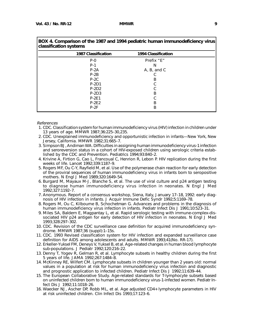| classification systems |                     |  |
|------------------------|---------------------|--|
| 1987 Classification    | 1994 Classification |  |
| $P - 0$                | Prefix "E"          |  |
| $P-1$                  | N                   |  |
| $P-2A$                 | A, B, and C         |  |
| $P-2B$                 |                     |  |
| $P-2C$                 | B                   |  |
| P-2D1                  |                     |  |
| $P-2D2$                |                     |  |
| $P-2D3$                | B                   |  |
| $P-2E1$                |                     |  |
| $P-2E2$                | R                   |  |
| $P-2F$                 | В                   |  |

**BOX 4. Comparison of the 1987 and 1994 pediatric human immunodeficiency virus**

References

- 1. CDC. Classification system for human immunodeficiency virus (HIV) infection in children under 13 years of age. MMWR 1987;36:225–30,235.
- 2. CDC. Unexplained immunodeficiency and opportunistic infection in infants—New York, New Jersey, California. MMWR 1982;31:665–7.
- 3. Simpson BJ, Andiman WA. Difficulties in assigning human immunodeficiency virus-1 infection and seroreversion status in a cohort of HIV-exposed children using serologic criteria established by the CDC and Prevention. Pediatrics 1994;93:840–2.
- 4. Krivine A, Firtion G, Cao L, Francoual C, Henrion R, Lebon P. HIV replication during the first weeks of life. Lancet 1992;339:1187–9.
- 5. Rogers MF, Ou C-Y, Rayfield M, et al. Use of the polymerase chain reaction for early detection of the proviral sequences of human immunodeficiency virus in infants born to seropositive mothers. N Engl J Med 1989;320:1649–54.
- 6. Burgard M, Mayaux M-J, Blanche S, et al. The use of viral culture and p24 antigen testing to diagnose human immunodeficiency virus infection in neonates. N Engl J Med 1992;327:1192–7.
- 7. Anonymous. Report of a consensus workshop, Siena, Italy, January 17–18, 1992: early diagnosis of HIV infection in infants. J Acquir Immune Defic Syndr 1992;5:1169–78.
- 8. Rogers M, Ou C, Kilbourne B, Schochetman G. Advances and problems in the diagnosis of human immunodeficiency virus infection in infants. Pediatr Infect Dis J 1991;10:523–31.
- 9. Miles SA, Baldern E, Magpantay L, et al. Rapid serologic testing with immune-complex-dissociated HIV p24 antigen for early detection of HIV infection in neonates. N Engl J Med 1993;328:297–302.
- 10. CDC. Revision of the CDC surveillance case definition for acquired immunodeficiency syndrome. MMWR 1987;36 (suppl):1–15s.
- 11. CDC. 1993 Revised classification system for HIV infection and expanded surveillance case definition for AIDS among adolescents and adults. MMWR 1993;41(No. RR-17).
- 12. Erkeller-Yuksel FM, Deneys V, Yuksel B, et al. Age-related changes in human blood lymphocyte sub-populations. J Pediatr 1992;120:216–22.
- 13. Denny T, Yogev R, Gelman R, et al. Lymphocyte subsets in healthy children during the first 5 years of life. JAMA 1992;267:1484–8.
- 14. McKinney RE, Wilfert CM. Lymphocyte subsets in children younger than 2 years old: normal values in a population at risk for human immunodeficiency virus infection and diagnostic and prognostic application to infected children. Pediatr Infect Dis J 1992;11:639–44.
- 15. The European Collaborative Study. Age-related standards for T-lymphocyte subsets based on uninfected children born to human immunodeficiency virus-1-infected women. Pediatr Infect Dis J 1992;11:1018–26.
- 16. Waecker NJ, Ascher DP, Robb ML, et al. Age adjusted CD4+ lymphocyte parameters in HIV at risk uninfected children. Clin Infect Dis 1993;17:123–6.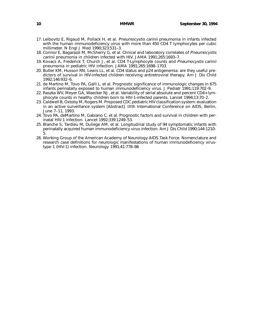- 17. Leibovitz E, Rigaud M, Pollack H, et al. Pneumocystis carinii pneumonia in infants infected with the human immunodeficiency virus with more than 450 CD4 T lymphocytes per cubic millimeter. N Engl J Med 1990;323:531–3.
- 18. Connor E, Bagarazzi M, McSherry G, et al. Clinical and laboratory correlates of Pneumocystis carinii pneumonia in children infected with HIV. JAMA 1991;265:1693–7.
- 19. Kovacs A, Frederick T, Church J, et al. CD4 T-Lymphocyte counts and Pneumocystis carinii pneumonia in pediatric HIV infection. JAMA 1991;265:1698–1703.
- 20. Butler KM, Husson RN, Lewis LL, et al. CD4 status and p24 antigenemia: are they useful predictors of survival in HIV-infected children receiving antiretroviral therapy. Am J Dis Child 1992;146:932–6.
- 21. de Martino M, Tovo PA, Galli L, et al. Prognostic significance of immunologic changes in 675 infants perinatally exposed to human immunodeficiency virus. J Pediatr 1991;119:702–9.
- 22. Raszka WV, Meyer GA, Waecker NJ, et al. Variability of serial absolute and percent CD4+ lymphocyte counts in healthy children born to HIV-1-infected parents. Lancet 1994;13:70–2.
- 23. Caldwell B, Oxtoby M, Rogers M. Proposed CDC pediatric HIV classification system: evaluation in an active surveillance system [Abstract]. IXth International Conference on AIDS, Berlin, June 7–11, 1993.
- 24. Tovo PA, deMartino M, Gabiano C, et al. Prognostic factors and survival in children with perinatal HIV-1 infection. Lancet 1992;339:1249–53.
- 25. Blanche S, Tardieu M, Duliege AM, et al. Longitudinal study of 94 symptomatic infants with perinatally acquired human immunodeficiency virus infection. Am J Dis Child 1990;144:1210– 5.
- 26. Working Group of the American Academy of Neurology AIDS Task Force. Nomenclature and research case definitions for neurologic manifestations of human immunodeficiency virustype 1 (HIV-1) infection. Neurology 1991;41:778–86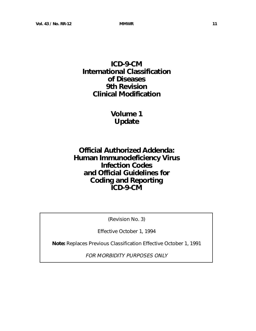# **ICD-9-CM International Classification of Diseases 9th Revision Clinical Modification**

# **Volume 1 Update**

# **Official Authorized Addenda: Human Immunodeficiency Virus Infection Codes and Official Guidelines for Coding and Reporting ICD-9-CM**

(Revision No. 3)

Effective October 1, 1994

**Note:** Replaces Previous Classification Effective October 1, 1991

FOR MORBIDITY PURPOSES ONLY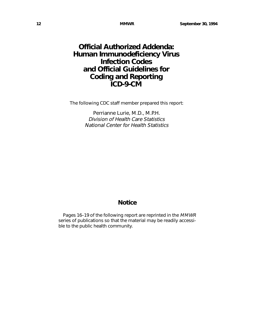# **Official Authorized Addenda: Human Immunodeficiency Virus Infection Codes and Official Guidelines for Coding and Reporting ICD-9-CM**

The following CDC staff member prepared this report:

Perrianne Lurie, M.D., M.P.H. Division of Health Care Statistics National Center for Health Statistics

### **Notice**

 Pages 16–19 of the following report are reprinted in the MMWR series of publications so that the material may be readily accessible to the public health community.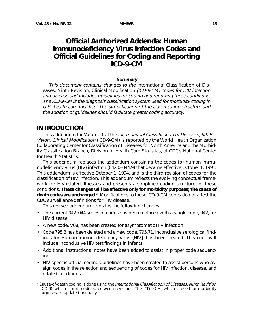# <span id="page-20-0"></span>**Official Authorized Addenda: Human Immunodeficiency Virus Infection Codes and Official Guidelines for Coding and Reporting ICD-9-CM**

#### **Summary**

This document contains changes to the International Classification of Diseases, Ninth Revision, Clinical Modification (ICD-9-CM) codes for HIV infection and disease and includes guidelines for coding and reporting these conditions. The ICD-9-CM is the diagnosis classification system used for morbidity coding in U.S. health-care facilities. The simplification of the classification structure and the addition of guidelines should facilitate greater coding accuracy.

## **INTRODUCTION**

This addendum for Volume 1 of the *International Classification of Diseases, 9th Re*vision, Clinical Modification (ICD-9-CM) is reported by the World Health Organization Collaborating Center for Classification of Diseases for North America and the Morbidity Classification Branch, Division of Health Care Statistics, at CDC's National Center for Health Statistics.

This addendum replaces the addendum containing the codes for human immunodeficiency virus (HIV) infection (042.0–044.9) that became effective October 1, 1991. This addendum is effective October 1, 1994, and is the third revision of codes for the classification of HIV infection. This addendum reflects the evolving conceptual framework for HIV-related illnesses and presents a simplified coding structure for these conditions. **These changes will be effective only for morbidity purposes; the cause of death codes are unchanged.**\* Modifications to these ICD-9-CM codes do not affect the CDC surveillance definitions for HIV disease.

This revised addendum contains the following changes:

- The current 042–044 series of codes has been replaced with a single code, 042, for HIV disease.
- A new code, V08, has been created for asymptomatic HIV infection.
- Code 795.8 has been deleted and a new code, 795.71, Inconclusive serological findings for Human Immunodeficiency Virus [HIV], has been created. This code will include inconclusive HIV test findings in infants.
- Additional instructional notes have been added to assist in proper code sequencing.
- HIV-specific official coding guidelines have been created to assist persons who assign codes in the selection and sequencing of codes for HIV infection, disease, and related conditions.

<sup>\*</sup>Cause-of-death coding is done using the International Classification of Diseases, Ninth Revision (ICD-9), which is not modified between revisions. The ICD-9-CM, which is used for morbidity purposes, is updated annually.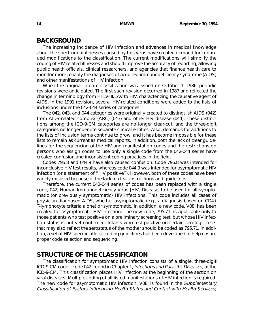### <span id="page-21-0"></span>**BACKGROUND**

The increasing incidence of HIV infection and advances in medical knowledge about the spectrum of illnesses caused by this virus have created demand for continued modifications to the classification. The current modifications will simplify the coding of HIV-related illnesses and should improve the accuracy of reporting, allowing public health officials, clinical researchers, and agencies that finance health care to monitor more reliably the diagnoses of acquired immunodeficiency syndrome (AIDS) and other manifestations of HIV infection.

When the original interim classification was issued on October 1, 1986, periodic revisions were anticipated. The first such revision occurred in 1987 and reflected the change in terminology from HTLV-III/LAV to HIV, characterizing the causative agent of AIDS. In the 1991 revision, several HIV-related conditions were added to the lists of inclusions under the 042-044 series of categories.

The 042, 043, and 044 categories were originally created to distinguish AIDS (042) from AIDS-related complex (ARC) (043) and other HIV disease (044). These distinctions among the ICD-9-CM categories are no longer clear-cut, and the three-digit categories no longer denote separate clinical entities. Also, demands for additions to the lists of inclusion terms continue to grow, and it has become impossible for these lists to remain as current as medical reports. In addition, both the lack of clear guidelines for the sequencing of the HIV and manifestation codes and the restrictions on persons who assign codes to use only a single code from the 042-044 series have created confusion and inconsistent coding practices in the field.

Codes 795.8 and 044.9 have also caused confusion. Code 795.8 was intended for inconclusive HIV test results, whereas code 044.9 was intended for asymptomatic HIV infection (or a statement of "HIV positive"). However, both of these codes have been widely misused because of the lack of clear instructions and guidelines.

Therefore, the current 042-044 series of codes has been replaced with a single code, 042, Human Immunodeficiency Virus [HIV] Disease, to be used for all symptomatic (or previously symptomatic) HIV infections. This code includes all cases of physician-diagnosed AIDS, whether asymptomatic (e.g., a diagnosis based on CD4+ T-lymphocyte criteria alone) or symptomatic. In addition, a new code, V08, has been created for asymptomatic HIV infection. The new code, 795.71, is applicable only to those patients who test positive on a preliminary screening test, but whose HIV infection status is not yet confirmed. Infants who test positive on certain serologic tests that may also reflect the serostatus of the mother should be coded as 795.71. In addition, a set of HIV-specific official coding guidelines has been developed to help ensure proper code selection and sequencing.

### **STRUCTURE OF THE CLASSIFICATION**

The classification for symptomatic HIV infection consists of a single, three-digit ICD-9-CM code—code 042, found in Chapter 1, Infectious and Parasitic Diseases, of the ICD-9-CM. This classification places HIV infection at the beginning of the section on viral diseases. Multiple coding of all listed manifestations of HIV infection is required. The new code for asymptomatic HIV infection, V08, is found in the Supplementary Classification of Factors Influencing Health Status and Contact with Health Services;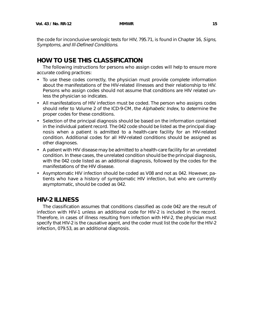<span id="page-22-0"></span>the code for inconclusive serologic tests for HIV, 795.71, is found in Chapter 16, Signs, Symptoms, and Ill-Defined Conditions.

# **HOW TO USE THIS CLASSIFICATION**

The following instructions for persons who assign codes will help to ensure more accurate coding practices:

- To use these codes correctly, the physician must provide complete information about the manifestations of the HIV-related illnesses and their relationship to HIV. Persons who assign codes should not assume that conditions are HIV related unless the physician so indicates.
- All manifestations of HIV infection must be coded. The person who assigns codes should refer to Volume 2 of the ICD-9-CM, the Alphabetic Index, to determine the proper codes for these conditions.
- Selection of the principal diagnosis should be based on the information contained in the individual patient record. The 042 code should be listed as the principal diagnosis when a patient is admitted to a health-care facility for an HIV-related condition. Additional codes for all HIV-related conditions should be assigned as other diagnoses.
- A patient with HIV disease may be admitted to a health-care facility for an unrelated condition. In these cases, the unrelated condition should be the principal diagnosis, with the 042 code listed as an additional diagnosis, followed by the codes for the manifestations of the HIV disease.
- Asymptomatic HIV infection should be coded as V08 and not as 042. However, patients who have a history of symptomatic HIV infection, but who are currently asymptomatic, should be coded as 042.

# **HIV-2 ILLNESS**

The classification assumes that conditions classified as code 042 are the result of infection with HIV-1 unless an additional code for HIV-2 is included in the record. Therefore, in cases of illness resulting from infection with HIV-2, the physician must specify that HIV-2 is the causative agent, and the coder must list the code for the HIV-2 infection, 079.53, as an additional diagnosis.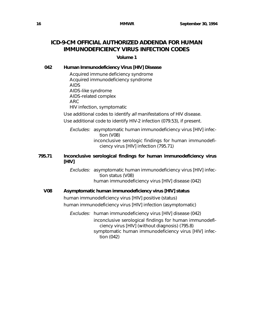# <span id="page-23-0"></span>**ICD-9-CM OFFICIAL AUTHORIZED ADDENDA FOR HUMAN IMMUNODEFICIENCY VIRUS INFECTION CODES**

### **Volume 1**

### **042 Human Immunodeficiency Virus [HIV] Disease**

Acquired immune deficiency syndrome Acquired immunodeficiency syndrome AIDS AIDS-like syndrome AIDS-related complex ARC HIV infection, symptomatic

Use additional codes to identify all manifestations of HIV disease.

Use additional code to identify HIV-2 infection (079.53), if present.

Excludes: asymptomatic human immunodeficiency virus [HIV] infection (V08) inconclusive serologic findings for human immunodeficiency virus [HIV] infection (795.71)

### **795.71 Inconclusive serological findings for human immunodeficiency virus [HIV]**

Excludes: asymptomatic human immunodeficiency virus [HIV] infection status (V08) human immunodeficiency virus [HIV] disease (042)

### **V08 Asymptomatic human immunodeficiency virus [HIV] status** human immunodeficiency virus [HIV] positive (status)

human immunodeficiency virus [HIV] infection (asymptomatic)

Excludes: human immunodeficiency virus [HIV] disease (042)

inconclusive serological findings for human immunodeficiency virus [HIV] (without diagnosis) (795.8) symptomatic human immunodeficiency virus [HIV] infection (042)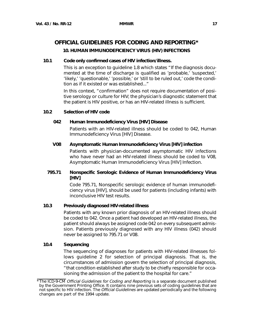# <span id="page-24-0"></span>**OFFICIAL GUIDELINES FOR CODING AND REPORTING\***

### **10. HUMAN IMMUNODEFICIENCY VIRUS (HIV) INFECTIONS**

### **10.1 Code only confirmed cases of HIV infection/illness.**

This is an exception to guideline 1.8 which states "If the diagnosis documented at the time of discharge is qualified as 'probable,' 'suspected,' 'likely,' 'questionable,' 'possible,' or 'still to be ruled out,' code the condition as if it existed or was established..."

In this context, "confirmation" does not require documentation of positive serology or culture for HIV; the physician's diagnostic statement that the patient is HIV positive, or has an HIV-related illness is sufficient.

### **10.2 Selection of HIV code**

### **042 Human Immunodeficiency Virus [HIV] Disease**

Patients with an HIV-related illness should be coded to 042, Human Immunodeficiency Virus [HIV] Disease.

### **V08 Asymptomatic Human Immunodeficiency Virus [HIV] infection**

Patients with physician-documented asymptomatic HIV infections who have never had an HIV-related illness should be coded to V08, Asymptomatic Human Immunodeficiency Virus [HIV] Infection.

### **795.71 Nonspecific Serologic Evidence of Human Immunodeficiency Virus [HIV]**

Code 795.71, Nonspecific serologic evidence of human immunodeficiency virus [HIV], should be used for patients (including infants) with inconclusive HIV test results.

### **10.3 Previously diagnosed HIV-related illness**

Patients with any known prior diagnosis of an HIV-related illness should be coded to 042. Once a patient had developed an HIV-related illness, the patient should always be assigned code 042 on every subsequent admission. Patients previously diagnosed with any HIV illness (042) should never be assigned to 795.71 or V08.

### **10.4 Sequencing**

The sequencing of diagnoses for patients with HIV-related illnesses follows guideline 2 for selection of principal diagnosis. That is, the circumstances of admission govern the selection of principal diagnosis, "that condition established after study to be chiefly responsible for occasioning the admission of the patient to the hospital for care."

<sup>\*</sup>The ICD-9-CM Official Guidelines for Coding and Reporting is a separate document published by the Government Printing Office. It contains nine previous sets of coding guidelines that are not specific to HIV infection. The *Official Guidelines* are updated periodically and the following changes are part of the 1994 update.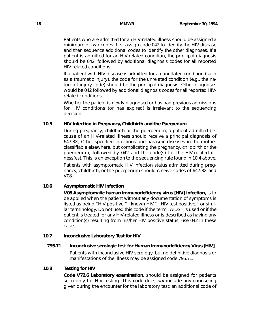Patients who are admitted for an HIV-related illness should be assigned a minimum of two codes: first assign code 042 to identify the HIV disease and then sequence additional codes to identify the other diagnoses. If a patient is admitted for an HIV-related condition, the principal diagnosis should be 042, followed by additional diagnosis codes for all reported HIV-related conditions.

If a patient with HIV disease is admitted for an unrelated condition (such as a traumatic injury), the code for the unrelated condition (e.g., the nature of injury code) should be the principal diagnosis. Other diagnoses would be 042 followed by additional diagnosis codes for all reported HIVrelated conditions.

Whether the patient is newly diagnosed or has had previous admissions for HIV conditions (or has expired) is irrelevant to the sequencing decision.

### **10.5 HIV Infection in Pregnancy, Childbirth and the Puerperium**

During pregnancy, childbirth or the puerperium, a patient admitted because of an HIV-related illness should receive a principal diagnosis of 647.8X, Other specified infectious and parasitic diseases in the mother classifiable elsewhere, but complicating the pregnancy, childbirth or the puerperium, followed by 042 and the code(s) for the HIV-related illness(es). This is an exception to the sequencing rule found in 10.4 above.

Patients with asymptomatic HIV infection status admitted during pregnancy, childbirth, or the puerperium should receive codes of 647.8X and V08.

### **10.6 Asymptomatic HIV Infection**

**V08 Asymptomatic human immunodeficiency virus [HIV] infection,** is to be applied when the patient without any documentation of symptoms is listed as being "HIV positive," "known HIV," "HIV test positive," or similar terminology. Do not used this code if the term "AIDS" is used or if the patient is treated for any HIV-related illness or is described as having any condition(s) resulting from his/her HIV positive status; use 042 in these cases.

### **10.7 Inconclusive Laboratory Test for HIV**

**795.71 Inconclusive serologic test for Human Immunodeficiency Virus [HIV]** Patients with inconclusive HIV serology, but no definitive diagnosis or manifestations of the illness may be assigned code 795.71.

### **10.8 Testing for HIV**

**Code V72.6 Laboratory examination,** should be assigned for patients seen only for HIV testing. This code does not include any counseling given during the encounter for the laboratory test; an additional code of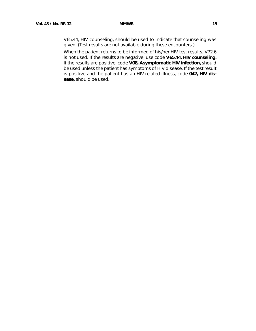V65.44, HIV counseling, should be used to indicate that counseling was given. (Test results are not available during these encounters.)

When the patient returns to be informed of his/her HIV test results, V72.6 is not used. If the results are negative, use code **V65.44, HIV counseling.** If the results are positive, code **V08, Asymptomatic HIV infection,** should be used unless the patient has symptoms of HIV disease. If the test result is positive and the patient has an HIV-related illness, code **042, HIV disease,** should be used.